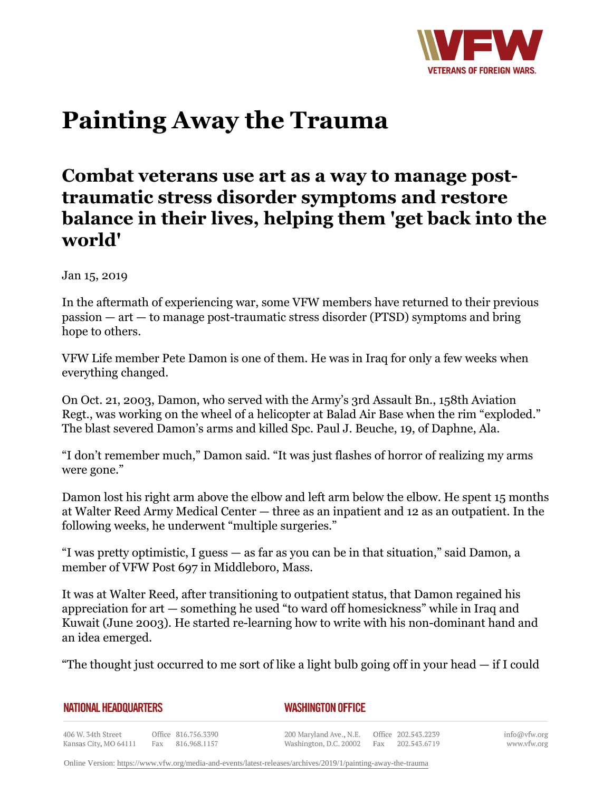

# **Painting Away the Trauma**

## **Combat veterans use art as a way to manage posttraumatic stress disorder symptoms and restore balance in their lives, helping them 'get back into the world'**

Jan 15, 2019

In the aftermath of experiencing war, some VFW members have returned to their previous passion — art — to manage post-traumatic stress disorder (PTSD) symptoms and bring hope to others.

VFW Life member Pete Damon is one of them. He was in Iraq for only a few weeks when everything changed.

On Oct. 21, 2003, Damon, who served with the Army's 3rd Assault Bn., 158th Aviation Regt., was working on the wheel of a helicopter at Balad Air Base when the rim "exploded." The blast severed Damon's arms and killed Spc. Paul J. Beuche, 19, of Daphne, Ala.

"I don't remember much," Damon said. "It was just flashes of horror of realizing my arms were gone."

Damon lost his right arm above the elbow and left arm below the elbow. He spent 15 months at Walter Reed Army Medical Center — three as an inpatient and 12 as an outpatient. In the following weeks, he underwent "multiple surgeries."

"I was pretty optimistic, I guess — as far as you can be in that situation," said Damon, a member of VFW Post 697 in Middleboro, Mass.

It was at Walter Reed, after transitioning to outpatient status, that Damon regained his appreciation for art — something he used "to ward off homesickness" while in Iraq and Kuwait (June 2003). He started re-learning how to write with his non-dominant hand and an idea emerged.

"The thought just occurred to me sort of like a light bulb going off in your head  $-$  if I could

| <b>NATIONAL HEADQUARTERS</b> |  |
|------------------------------|--|
|------------------------------|--|

### *WASHINGTON OFFICE*

406 W. 34th Street Office 816.756.3390 Fax 816.968.1157 Kansas City, MO 64111

200 Maryland Ave., N.E. Washington, D.C. 20002

Office 202.543.2239 Fax 202.543.6719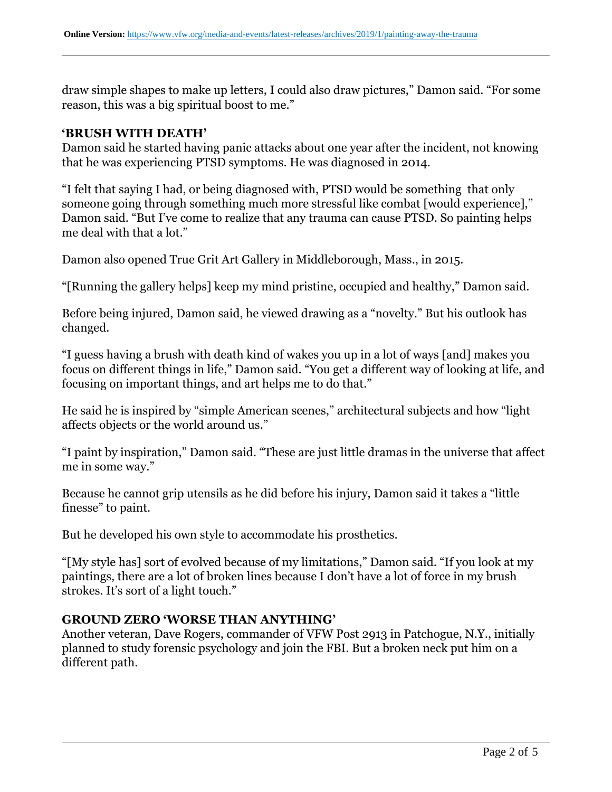draw simple shapes to make up letters, I could also draw pictures," Damon said. "For some reason, this was a big spiritual boost to me."

#### **'BRUSH WITH DEATH'**

Damon said he started having panic attacks about one year after the incident, not knowing that he was experiencing PTSD symptoms. He was diagnosed in 2014.

"I felt that saying I had, or being diagnosed with, PTSD would be something that only someone going through something much more stressful like combat [would experience]," Damon said. "But I've come to realize that any trauma can cause PTSD. So painting helps me deal with that a lot."

Damon also opened True Grit Art Gallery in Middleborough, Mass., in 2015.

"[Running the gallery helps] keep my mind pristine, occupied and healthy," Damon said.

Before being injured, Damon said, he viewed drawing as a "novelty." But his outlook has changed.

"I guess having a brush with death kind of wakes you up in a lot of ways [and] makes you focus on different things in life," Damon said. "You get a different way of looking at life, and focusing on important things, and art helps me to do that."

He said he is inspired by "simple American scenes," architectural subjects and how "light affects objects or the world around us."

"I paint by inspiration," Damon said. "These are just little dramas in the universe that affect me in some way."

Because he cannot grip utensils as he did before his injury, Damon said it takes a "little finesse" to paint.

But he developed his own style to accommodate his prosthetics.

"[My style has] sort of evolved because of my limitations," Damon said. "If you look at my paintings, there are a lot of broken lines because I don't have a lot of force in my brush strokes. It's sort of a light touch."

### **GROUND ZERO 'WORSE THAN ANYTHING'**

Another veteran, Dave Rogers, commander of VFW Post 2913 in Patchogue, N.Y., initially planned to study forensic psychology and join the FBI. But a broken neck put him on a different path.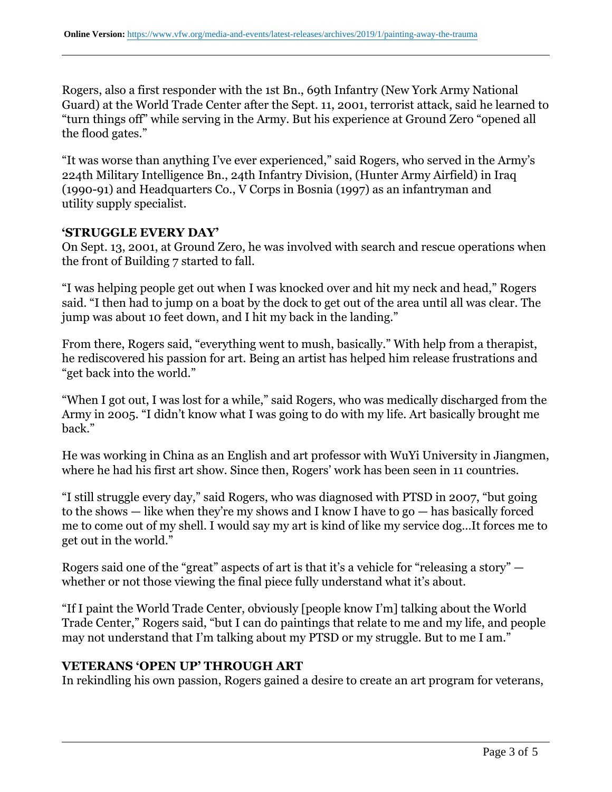Rogers, also a first responder with the 1st Bn., 69th Infantry (New York Army National Guard) at the World Trade Center after the Sept. 11, 2001, terrorist attack, said he learned to "turn things off" while serving in the Army. But his experience at Ground Zero "opened all the flood gates."

"It was worse than anything I've ever experienced," said Rogers, who served in the Army's 224th Military Intelligence Bn., 24th Infantry Division, (Hunter Army Airfield) in Iraq (1990-91) and Headquarters Co., V Corps in Bosnia (1997) as an infantryman and utility supply specialist.

#### **'STRUGGLE EVERY DAY'**

On Sept. 13, 2001, at Ground Zero, he was involved with search and rescue operations when the front of Building 7 started to fall.

"I was helping people get out when I was knocked over and hit my neck and head," Rogers said. "I then had to jump on a boat by the dock to get out of the area until all was clear. The jump was about 10 feet down, and I hit my back in the landing."

From there, Rogers said, "everything went to mush, basically." With help from a therapist, he rediscovered his passion for art. Being an artist has helped him release frustrations and "get back into the world."

"When I got out, I was lost for a while," said Rogers, who was medically discharged from the Army in 2005. "I didn't know what I was going to do with my life. Art basically brought me back."

He was working in China as an English and art professor with WuYi University in Jiangmen, where he had his first art show. Since then, Rogers' work has been seen in 11 countries.

"I still struggle every day," said Rogers, who was diagnosed with PTSD in 2007, "but going to the shows — like when they're my shows and I know I have to go — has basically forced me to come out of my shell. I would say my art is kind of like my service dog…It forces me to get out in the world."

Rogers said one of the "great" aspects of art is that it's a vehicle for "releasing a story" whether or not those viewing the final piece fully understand what it's about.

"If I paint the World Trade Center, obviously [people know I'm] talking about the World Trade Center," Rogers said, "but I can do paintings that relate to me and my life, and people may not understand that I'm talking about my PTSD or my struggle. But to me I am."

#### **VETERANS 'OPEN UP' THROUGH ART**

In rekindling his own passion, Rogers gained a desire to create an art program for veterans,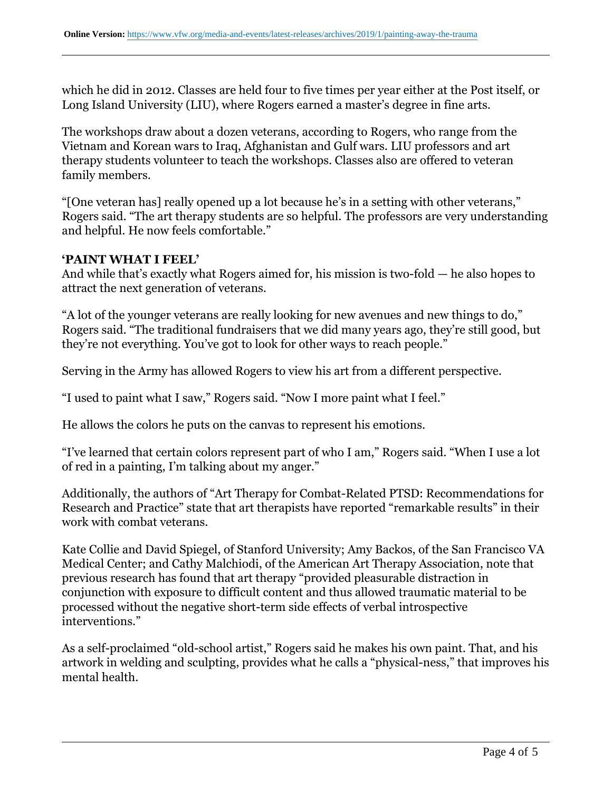which he did in 2012. Classes are held four to five times per year either at the Post itself, or Long Island University (LIU), where Rogers earned a master's degree in fine arts.

The workshops draw about a dozen veterans, according to Rogers, who range from the Vietnam and Korean wars to Iraq, Afghanistan and Gulf wars. LIU professors and art therapy students volunteer to teach the workshops. Classes also are offered to veteran family members.

"[One veteran has] really opened up a lot because he's in a setting with other veterans," Rogers said. "The art therapy students are so helpful. The professors are very understanding and helpful. He now feels comfortable."

### **'PAINT WHAT I FEEL'**

And while that's exactly what Rogers aimed for, his mission is two-fold — he also hopes to attract the next generation of veterans.

"A lot of the younger veterans are really looking for new avenues and new things to do," Rogers said. "The traditional fundraisers that we did many years ago, they're still good, but they're not everything. You've got to look for other ways to reach people."

Serving in the Army has allowed Rogers to view his art from a different perspective.

"I used to paint what I saw," Rogers said. "Now I more paint what I feel."

He allows the colors he puts on the canvas to represent his emotions.

"I've learned that certain colors represent part of who I am," Rogers said. "When I use a lot of red in a painting, I'm talking about my anger."

Additionally, the authors of "Art Therapy for Combat-Related PTSD: Recommendations for Research and Practice" state that art therapists have reported "remarkable results" in their work with combat veterans.

Kate Collie and David Spiegel, of Stanford University; Amy Backos, of the San Francisco VA Medical Center; and Cathy Malchiodi, of the American Art Therapy Association, note that previous research has found that art therapy "provided pleasurable distraction in conjunction with exposure to difficult content and thus allowed traumatic material to be processed without the negative short-term side effects of verbal introspective interventions."

As a self-proclaimed "old-school artist," Rogers said he makes his own paint. That, and his artwork in welding and sculpting, provides what he calls a "physical-ness," that improves his mental health.